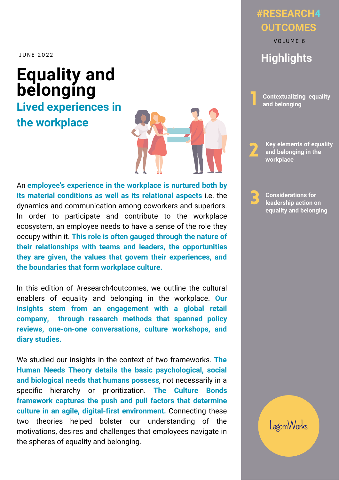JUNE 2022

# **Equality and belonging Contextualizing** equality

**Lived experiences in the workplace**



An **employee's experience in the workplace is nurtured both by its material conditions as well as its relational aspects** i.e. the dynamics and communication among coworkers and superiors. In order to participate and contribute to the workplace ecosystem, an employee needs to have a sense of the role they occupy within it. **This role is often gauged through the nature of their relationships with teams and leaders, the opportunities they are given, the values that govern their experiences, and the boundaries that form workplace culture.**

In this edition of #research4outcomes, we outline the cultural enablers of equality and belonging in the workplace. **Our insights stem from an engagement with a global retail company, through research methods that spanned policy reviews, one-on-one conversations, culture workshops, and diary studies.**

We studied our insights in the context of two frameworks. **The Human Needs Theory details the basic psychological, social and biological needs that humans possess**, not necessarily in a specific hierarchy or prioritization. **The Culture Bonds framework captures the push and pull factors that determine culture in an agile, digital-first environment.** Connecting these two theories helped bolster our understanding of the motivations, desires and challenges that employees navigate in the spheres of equality and belonging.

## **#RESEARCH4 OUTCOMES**

**Highlights** VOLUME 6

**and belonging** 1

**Key elements of equality and belonging in the workplace** 2

**Considerations for leadership action on equality and belonging** 3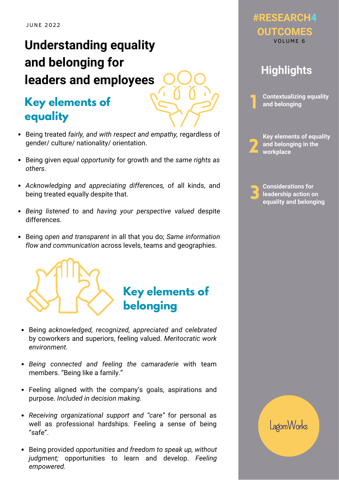# **Understanding equality and belonging for leaders and employees**

## **Key elements of Contextualizing equality equality**

- Being treated *fairly, and with respect and empathy,* regardless of gender/ culture/ nationality/ orientation.
- Being given *equal opportunity* for growth and the *same rights as others.*
- *Acknowledging and appreciating differences,* of all kinds, and being treated equally despite that.
- *Being listened* to and *having your perspective valued* despite differences.
- Being *open and transparent* in all that you do; *Same information flow and communication* across levels, teams and geographies.



- Being *acknowledged, recognized, appreciated and celebrated* by coworkers and superiors, feeling valued. *Meritocratic work environment*.
- *Being connected and feeling the camaraderie* with team members. "Being like a family."
- Feeling aligned with the company's goals, aspirations and purpose. *Included in decision making.*
- *Receiving organizational support and "care"* for personal as well as professional hardships. Feeling a sense of being "safe".
- Being provided *opportunities and freedom to speak up, without judgment;* opportunities to learn and develop. *Feeling empowered.*

#### **#RESEARCH4 OUTCOMES** VOLUME 6

## **Highlights**

2

1

**Key elements of equality and belonging in the workplace**

3

**Considerations for leadership action on equality and belonging**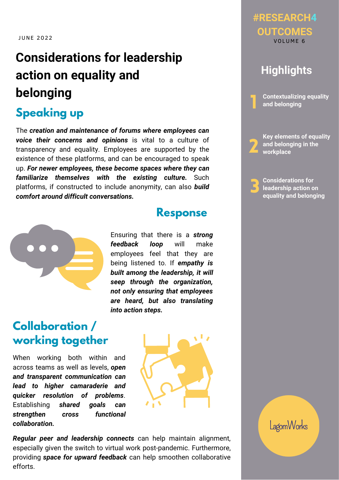# **Considerations for leadership action on equality and belonging**

## **Speaking up**

The *creation and maintenance of forums where employees can voice their concerns and opinions* is vital to a culture of transparency and equality. Employees are supported by the existence of these platforms, and can be encouraged to speak up. *For newer employees, these become spaces where they can familiarize themselves with the existing culture.* Such platforms, if constructed to include anonymity, can also *build comfort around difficult conversations.*



#### **Response**

Ensuring that there is a *strong feedback loop* will make employees feel that they are being listened to. If *empathy is built among the leadership, it will seep through the organization, not only ensuring that employees are heard, but also translating into action steps.*

## **Collaboration / working together**

When working both within and across teams as well as levels, *open and transparent communication can lead to higher camaraderie and quicker resolution of problems*. Establishing *shared goals can strengthen cross functional collaboration.*



#### **#RESEARCH4 OUTCOMES** VOLUME 6

## **Highlights**

**Contextualizing equality and belonging**

2

1

**Key elements of equality and belonging in the workplace**

3 **Considerations for leadership action on equality and belonging**

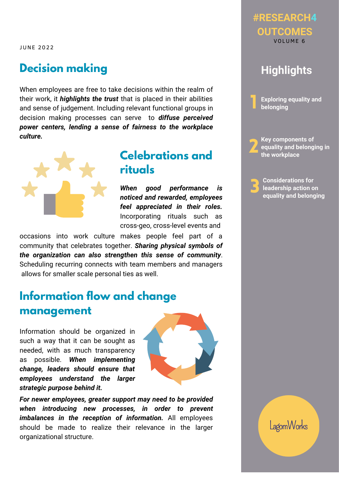JUNE 2022

### **Decision making**

When employees are free to take decisions within the realm of their work, it *highlights the trust* that is placed in their abilities and sense of judgement. Including relevant functional groups in decision making processes can serve to *diffuse perceived power centers, lending a sense of fairness to the workplace culture.*



### **Celebrations and rituals**

*When good performance is noticed and rewarded, employees feel appreciated in their roles.* Incorporating rituals such as cross-geo, cross-level events and

occasions into work culture makes people feel part of a community that celebrates together. *Sharing physical symbols of the organization can also strengthen this sense of community*. Scheduling recurring connects with team members and managers allows for smaller scale personal ties as well.

## **Information flow and change management**

Information should be organized in such a way that it can be sought as needed, with as much transparency as possible. *When implementing change, leaders should ensure that employees understand the larger strategic purpose behind it.*



*For newer employees, greater support may need to be provided when introducing new processes, in order to prevent imbalances in the reception of information.* All employees should be made to realize their relevance in the larger organizational structure.



**#RESEARCH4**

3 **Considerations for leadership action on equality and belonging**